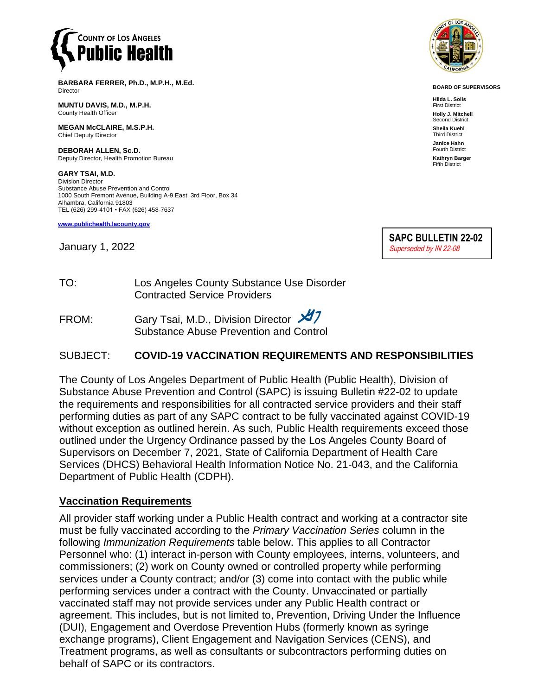

**BARBARA FERRER, Ph.D., M.P.H., M.Ed.** Director

**MUNTU DAVIS, M.D., M.P.H.** County Health Officer

**MEGAN McCLAIRE, M.S.P.H.** Chief Deputy Director

**DEBORAH ALLEN, Sc.D.** Deputy Director, Health Promotion Bureau

**GARY TSAI, M.D.** Division Director Substance Abuse Prevention and Control 1000 South Fremont Avenue, Building A-9 East, 3rd Floor, Box 34 Alhambra, California 91803 TEL (626) 299-4101 • FAX (626) 458-7637

**[www.publichealth.lacounty.gov](http://www.publichealth.lacounty.gov/)**

January 1, 2022



**BOARD OF SUPERVISORS**

**Hilda L. Solis** First District **Holly J. Mitchell** Second District **Sheila Kuehl** Third District **Janice Hahn** Fourth District **Kathryn Barger** Fifth District



TO: Los Angeles County Substance Use Disorder Contracted Service Providers

FROM: Gary Tsai, M.D., Division Director X7 Substance Abuse Prevention and Control

#### SUBJECT: **COVID-19 VACCINATION REQUIREMENTS AND RESPONSIBILITIES**

The County of Los Angeles Department of Public Health (Public Health), Division of Substance Abuse Prevention and Control (SAPC) is issuing Bulletin #22-02 to update the requirements and responsibilities for all contracted service providers and their staff performing duties as part of any SAPC contract to be fully vaccinated against COVID-19 without exception as outlined herein. As such, Public Health requirements exceed those outlined under the Urgency Ordinance passed by the Los Angeles County Board of Supervisors on December 7, 2021, State of California Department of Health Care Services (DHCS) Behavioral Health Information Notice No. 21-043, and the California Department of Public Health (CDPH).

#### **Vaccination Requirements**

All provider staff working under a Public Health contract and working at a contractor site must be fully vaccinated according to the *Primary Vaccination Series* column in the following *Immunization Requirements* table below. This applies to all Contractor Personnel who: (1) interact in-person with County employees, interns, volunteers, and commissioners; (2) work on County owned or controlled property while performing services under a County contract; and/or (3) come into contact with the public while performing services under a contract with the County. Unvaccinated or partially vaccinated staff may not provide services under any Public Health contract or agreement. This includes, but is not limited to, Prevention, Driving Under the Influence (DUI), Engagement and Overdose Prevention Hubs (formerly known as syringe exchange programs), Client Engagement and Navigation Services (CENS), and Treatment programs, as well as consultants or subcontractors performing duties on behalf of SAPC or its contractors.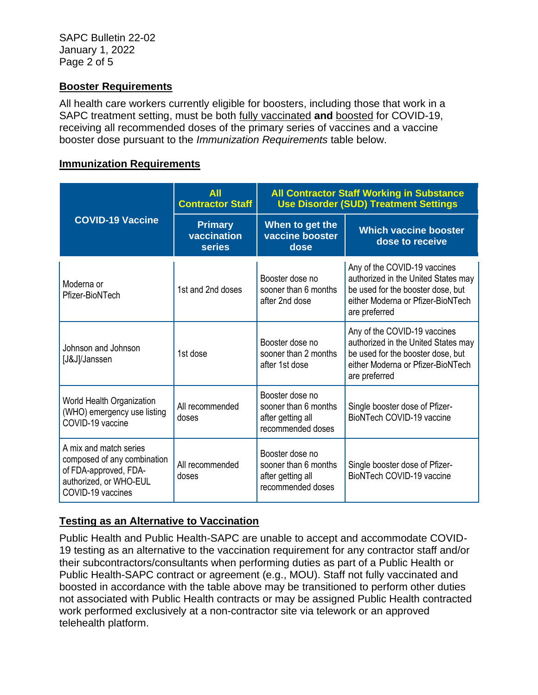#### **Booster Requirements**

All health care workers currently eligible for boosters, including those that work in a SAPC treatment setting, must be both fully vaccinated **and** boosted for COVID-19, receiving all recommended doses of the primary series of vaccines and a vaccine booster dose pursuant to the *Immunization Requirements* table below.

#### **Immunization Requirements**

| <b>COVID-19 Vaccine</b>                                                                                                       | <b>All</b><br><b>Contractor Staff</b>          | <b>All Contractor Staff Working in Substance</b><br><b>Use Disorder (SUD) Treatment Settings</b> |                                                                                                                                                                |
|-------------------------------------------------------------------------------------------------------------------------------|------------------------------------------------|--------------------------------------------------------------------------------------------------|----------------------------------------------------------------------------------------------------------------------------------------------------------------|
|                                                                                                                               | <b>Primary</b><br>vaccination<br><b>series</b> | When to get the<br>vaccine booster<br>dose                                                       | <b>Which vaccine booster</b><br>dose to receive                                                                                                                |
| Moderna or<br>Pfizer-BioNTech                                                                                                 | 1st and 2nd doses                              | Booster dose no<br>sooner than 6 months<br>after 2nd dose                                        | Any of the COVID-19 vaccines<br>authorized in the United States may<br>be used for the booster dose, but<br>either Moderna or Pfizer-BioNTech<br>are preferred |
| Johnson and Johnson<br>[J&J]/Janssen                                                                                          | 1st dose                                       | Booster dose no<br>sooner than 2 months<br>after 1st dose                                        | Any of the COVID-19 vaccines<br>authorized in the United States may<br>be used for the booster dose, but<br>either Moderna or Pfizer-BioNTech<br>are preferred |
| World Health Organization<br>(WHO) emergency use listing<br>COVID-19 vaccine                                                  | All recommended<br>doses                       | Booster dose no<br>sooner than 6 months<br>after getting all<br>recommended doses                | Single booster dose of Pfizer-<br>BioNTech COVID-19 vaccine                                                                                                    |
| A mix and match series<br>composed of any combination<br>of FDA-approved, FDA-<br>authorized, or WHO-EUL<br>COVID-19 vaccines | All recommended<br>doses                       | Booster dose no<br>sooner than 6 months<br>after getting all<br>recommended doses                | Single booster dose of Pfizer-<br>BioNTech COVID-19 vaccine                                                                                                    |

# **Testing as an Alternative to Vaccination**

Public Health and Public Health-SAPC are unable to accept and accommodate COVID-19 testing as an alternative to the vaccination requirement for any contractor staff and/or their subcontractors/consultants when performing duties as part of a Public Health or Public Health-SAPC contract or agreement (e.g., MOU). Staff not fully vaccinated and boosted in accordance with the table above may be transitioned to perform other duties not associated with Public Health contracts or may be assigned Public Health contracted work performed exclusively at a non-contractor site via telework or an approved telehealth platform.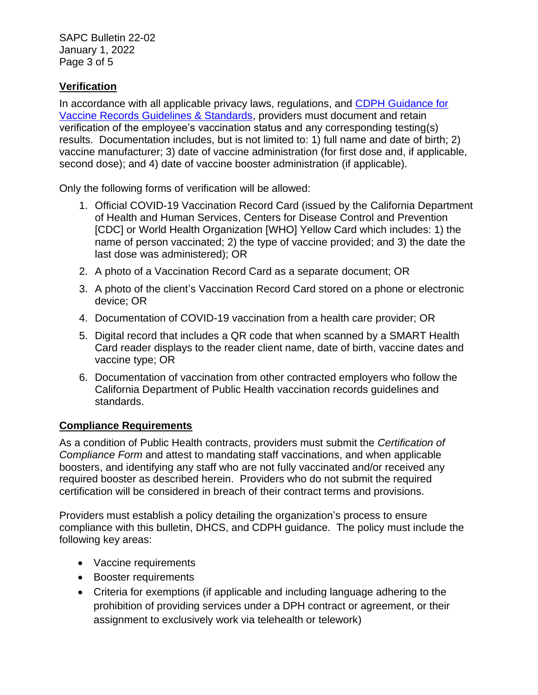SAPC Bulletin 22-02 January 1, 2022 Page 3 of 5

## **Verification**

In accordance with all applicable privacy laws, regulations, and [CDPH Guidance for](https://www.cdph.ca.gov/Programs/CID/DCDC/Pages/COVID-19/Vaccine-Record-Guidelines-Standards.aspx)  [Vaccine Records Guidelines & Standards,](https://www.cdph.ca.gov/Programs/CID/DCDC/Pages/COVID-19/Vaccine-Record-Guidelines-Standards.aspx) providers must document and retain verification of the employee's vaccination status and any corresponding testing(s) results. Documentation includes, but is not limited to: 1) full name and date of birth; 2) vaccine manufacturer; 3) date of vaccine administration (for first dose and, if applicable, second dose); and 4) date of vaccine booster administration (if applicable).

Only the following forms of verification will be allowed:

- 1. Official COVID-19 Vaccination Record Card (issued by the California Department of Health and Human Services, Centers for Disease Control and Prevention [CDC] or World Health Organization [WHO] Yellow Card which includes: 1) the name of person vaccinated; 2) the type of vaccine provided; and 3) the date the last dose was administered); OR
- 2. A photo of a Vaccination Record Card as a separate document; OR
- 3. A photo of the client's Vaccination Record Card stored on a phone or electronic device; OR
- 4. Documentation of COVID-19 vaccination from a health care provider; OR
- 5. Digital record that includes a QR code that when scanned by a SMART Health Card reader displays to the reader client name, date of birth, vaccine dates and vaccine type; OR
- 6. Documentation of vaccination from other contracted employers who follow the California Department of Public Health vaccination records guidelines and standards.

### **Compliance Requirements**

As a condition of Public Health contracts, providers must submit the *Certification of Compliance Form* and attest to mandating staff vaccinations, and when applicable boosters, and identifying any staff who are not fully vaccinated and/or received any required booster as described herein. Providers who do not submit the required certification will be considered in breach of their contract terms and provisions.

Providers must establish a policy detailing the organization's process to ensure compliance with this bulletin, DHCS, and CDPH guidance. The policy must include the following key areas:

- Vaccine requirements
- Booster requirements
- Criteria for exemptions (if applicable and including language adhering to the prohibition of providing services under a DPH contract or agreement, or their assignment to exclusively work via telehealth or telework)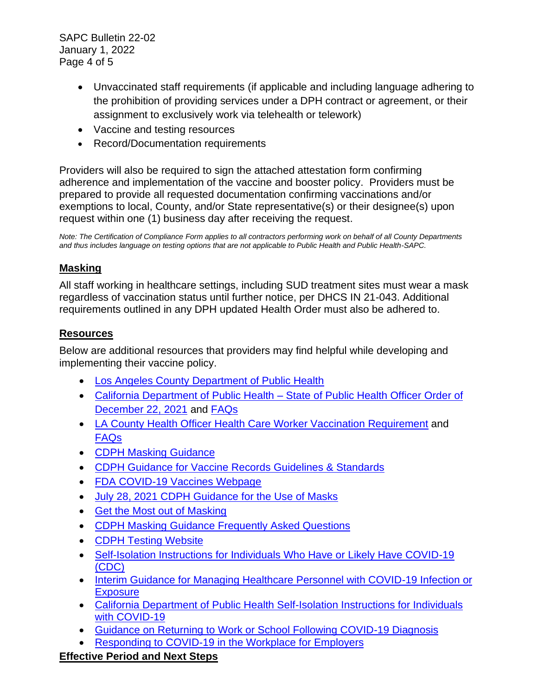SAPC Bulletin 22-02 January 1, 2022 Page 4 of 5

- Unvaccinated staff requirements (if applicable and including language adhering to the prohibition of providing services under a DPH contract or agreement, or their assignment to exclusively work via telehealth or telework)
- Vaccine and testing resources
- Record/Documentation requirements

Providers will also be required to sign the attached attestation form confirming adherence and implementation of the vaccine and booster policy. Providers must be prepared to provide all requested documentation confirming vaccinations and/or exemptions to local, County, and/or State representative(s) or their designee(s) upon request within one (1) business day after receiving the request.

*Note: The Certification of Compliance Form applies to all contractors performing work on behalf of all County Departments and thus includes language on testing options that are not applicable to Public Health and Public Health-SAPC.* 

## **Masking**

All staff working in healthcare settings, including SUD treatment sites must wear a mask regardless of vaccination status until further notice, per DHCS IN 21-043. Additional requirements outlined in any DPH updated Health Order must also be adhered to.

### **Resources**

Below are additional resources that providers may find helpful while developing and implementing their vaccine policy.

- [Los Angeles County Department of Public Health](http://publichealth.lacounty.gov/media/Coronavirus/reopening-la.htm#orders)
- [California Department of Public Health –](http://www.cdph.ca.gov/Programs/CID/DCDC/Pages/COVID-19/Order-of-the-State-Public-Health-Officer-Health-Care-Worker-Vaccine-Requirement.aspx) State of Public Health Officer Order of [December 22, 2021](http://www.cdph.ca.gov/Programs/CID/DCDC/Pages/COVID-19/Order-of-the-State-Public-Health-Officer-Health-Care-Worker-Vaccine-Requirement.aspx) and [FAQs](http://www.cdph.ca.gov/Programs/CID/DCDC/Pages/COVID-19/FAQ-Health-Care-Worker-Vaccine-Requirement.aspx)
- LA County Health Officer Health Care Worker Vaccination [Requirement](http://publichealth.lacounty.gov/media/Coronavirus/docs/HOO/HOO_HealthCareWorkerVaccination.pdf) and [FAQs](http://publichealth.lacounty.gov/media/Coronavirus/docs/HOO/FAQ-HealthCareWorkerVaccination.pdf)
- [CDPH Masking Guidance](https://www.cdph.ca.gov/Programs/CID/DCDC/Pages/COVID-19/guidance-for-face-coverings.aspx)
- [CDPH Guidance for Vaccine Records Guidelines & Standards](https://gcc02.safelinks.protection.outlook.com/?url=https%3A%2F%2Fwww.cdph.ca.gov%2FPrograms%2FCID%2FDCDC%2FPages%2FCOVID-19%2FVaccine-Record-Guidelines-Standards.aspx&data=04%7C01%7CKelly.Pfeifer%40dhcs.ca.gov%7C5be415a00a6f4e6ef6e308d94f9ff78a%7C265c2dcd2a6e43aab2e826421a8c8526%7C0%7C0%7C637628370751468483%7CUnknown%7CTWFpbGZsb3d8eyJWIjoiMC4wLjAwMDAiLCJQIjoiV2luMzIiLCJBTiI6Ik1haWwiLCJXVCI6Mn0%3D%7C1000&sdata=7i5tNEVEMkKb3dq07sE%2Bgn6%2BvyylPUjf%2F9fkgg6sc7o%3D&reserved=0)
- [FDA COVID-19 Vaccines Webpage](https://www.fda.gov/emergency-preparedness-and-response/coronavirus-disease-2019-covid-19/covid-19-vaccines)
- [July 28, 2021 CDPH Guidance for the Use of Masks](https://www.cdph.ca.gov/Programs/CID/DCDC/Pages/COVID-19/guidance-for-face-coverings.aspx)
- [Get the Most out of Masking](https://www.cdph.ca.gov/Programs/CID/DCDC/Pages/COVID-19/Get-the-Most-out-of-Masking.aspx)
- [CDPH Masking Guidance Frequently Asked Questions](https://www.cdph.ca.gov/Programs/CID/DCDC/Pages/COVID-19/Face-Coverings-QA.aspx)
- [CDPH Testing Website](https://testing.covid19.ca.gov/get-started/)
- [Self-Isolation Instructions for Individuals Who Have or Likely Have COVID-19](http://www.cdc.gov/media/releases/2021/s1227-isolation-quarantine-guidance.html)  [\(CDC\)](http://www.cdc.gov/media/releases/2021/s1227-isolation-quarantine-guidance.html)
- [Interim Guidance for Managing Healthcare Personnel with COVID-19 Infection or](http://www.cdc.gov/coronavirus/2019-ncov/hcp/guidance-risk-assesment-hcp.html)  **[Exposure](http://www.cdc.gov/coronavirus/2019-ncov/hcp/guidance-risk-assesment-hcp.html)**
- [California Department of Public Health Self-Isolation Instructions for Individuals](https://gcc02.safelinks.protection.outlook.com/?url=https%3A%2F%2Fwww.cdph.ca.gov%2FPrograms%2FCID%2FDCDC%2FCDPH%2520Document%2520Library%2FCOVID-19%2Fself-isolation-instructions.pdf&data=04%7C01%7CKelly.Pfeifer%40dhcs.ca.gov%7C2b4be694c6ae4569cc8708d94fea7b7b%7C265c2dcd2a6e43aab2e826421a8c8526%7C0%7C0%7C637628690789684309%7CUnknown%7CTWFpbGZsb3d8eyJWIjoiMC4wLjAwMDAiLCJQIjoiV2luMzIiLCJBTiI6Ik1haWwiLCJXVCI6Mn0%3D%7C1000&sdata=bcaYXAI1WWbUuK2dSTHgoOeLLJnvC3cR%2Bg6UyJUEneE%3D&reserved=0)  [with COVID-19](https://gcc02.safelinks.protection.outlook.com/?url=https%3A%2F%2Fwww.cdph.ca.gov%2FPrograms%2FCID%2FDCDC%2FCDPH%2520Document%2520Library%2FCOVID-19%2Fself-isolation-instructions.pdf&data=04%7C01%7CKelly.Pfeifer%40dhcs.ca.gov%7C2b4be694c6ae4569cc8708d94fea7b7b%7C265c2dcd2a6e43aab2e826421a8c8526%7C0%7C0%7C637628690789684309%7CUnknown%7CTWFpbGZsb3d8eyJWIjoiMC4wLjAwMDAiLCJQIjoiV2luMzIiLCJBTiI6Ik1haWwiLCJXVCI6Mn0%3D%7C1000&sdata=bcaYXAI1WWbUuK2dSTHgoOeLLJnvC3cR%2Bg6UyJUEneE%3D&reserved=0)
- [Guidance on Returning to Work or School Following COVID-19 Diagnosis](https://gcc02.safelinks.protection.outlook.com/?url=https%3A%2F%2Fwww.cdph.ca.gov%2FPrograms%2FCID%2FDCDC%2FPages%2FCOVID-19%2FGuidance-on-Returning-to-Work-or-School-Following-COVID-19-Diagnosis.aspx&data=04%7C01%7CKelly.Pfeifer%40dhcs.ca.gov%7C2b4be694c6ae4569cc8708d94fea7b7b%7C265c2dcd2a6e43aab2e826421a8c8526%7C0%7C0%7C637628690789724134%7CUnknown%7CTWFpbGZsb3d8eyJWIjoiMC4wLjAwMDAiLCJQIjoiV2luMzIiLCJBTiI6Ik1haWwiLCJXVCI6Mn0%3D%7C1000&sdata=bIxj5%2BjeTxx6nKLTVAlkUbx93f1WDbyi4bEavhcGR4w%3D&reserved=0)
- [Responding to COVID-19 in the Workplace for Employers](https://gcc02.safelinks.protection.outlook.com/?url=https%3A%2F%2Fwww.cdph.ca.gov%2FPrograms%2FCID%2FDCDC%2FPages%2FCOVID-19%2FWorkplace-Outbreak-Employer-Guidance.aspx&data=04%7C01%7CKelly.Pfeifer%40dhcs.ca.gov%7C2b4be694c6ae4569cc8708d94fea7b7b%7C265c2dcd2a6e43aab2e826421a8c8526%7C0%7C0%7C637628690789689290%7CUnknown%7CTWFpbGZsb3d8eyJWIjoiMC4wLjAwMDAiLCJQIjoiV2luMzIiLCJBTiI6Ik1haWwiLCJXVCI6Mn0%3D%7C1000&sdata=6%2BKtbvUoHcCWDxjylp2687YJdIrp5x3tGwOszYYP4L8%3D&reserved=0)

# **Effective Period and Next Steps**